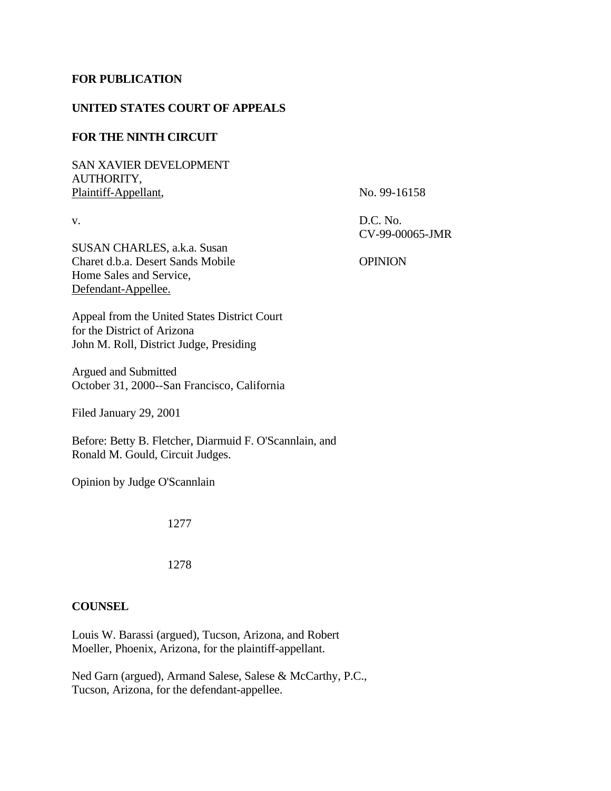## **FOR PUBLICATION**

## **UNITED STATES COURT OF APPEALS**

# **FOR THE NINTH CIRCUIT**

SAN XAVIER DEVELOPMENT AUTHORITY, Plaintiff-Appellant, No. 99-16158

v. D.C. No.

CV-99-00065-JMR

SUSAN CHARLES, a.k.a. Susan Charet d.b.a. Desert Sands Mobile OPINION Home Sales and Service, Defendant-Appellee.

Appeal from the United States District Court for the District of Arizona John M. Roll, District Judge, Presiding

Argued and Submitted October 31, 2000--San Francisco, California

Filed January 29, 2001

Before: Betty B. Fletcher, Diarmuid F. O'Scannlain, and Ronald M. Gould, Circuit Judges.

Opinion by Judge O'Scannlain

1277

1278

# **COUNSEL**

Louis W. Barassi (argued), Tucson, Arizona, and Robert Moeller, Phoenix, Arizona, for the plaintiff-appellant.

Ned Garn (argued), Armand Salese, Salese & McCarthy, P.C., Tucson, Arizona, for the defendant-appellee.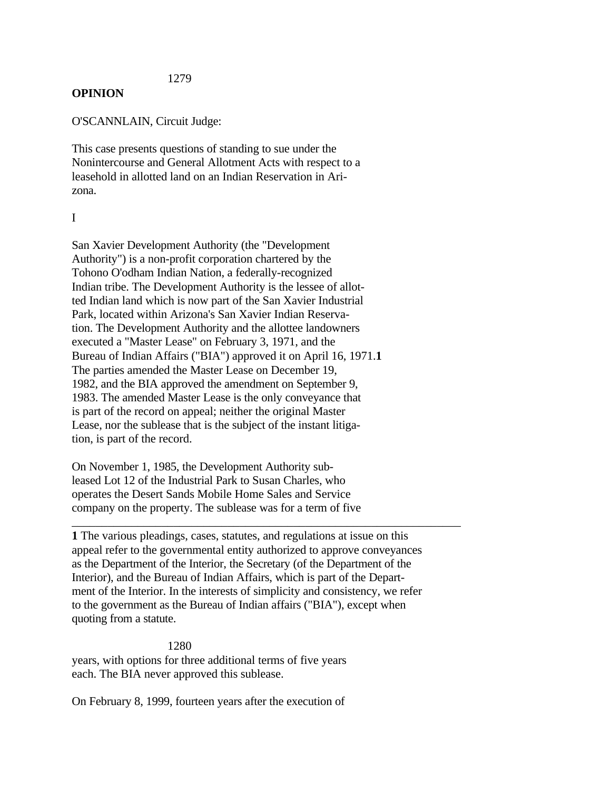## 1279

## **OPINION**

O'SCANNLAIN, Circuit Judge:

This case presents questions of standing to sue under the Nonintercourse and General Allotment Acts with respect to a leasehold in allotted land on an Indian Reservation in Arizona.

### I

San Xavier Development Authority (the "Development Authority") is a non-profit corporation chartered by the Tohono O'odham Indian Nation, a federally-recognized Indian tribe. The Development Authority is the lessee of allotted Indian land which is now part of the San Xavier Industrial Park, located within Arizona's San Xavier Indian Reservation. The Development Authority and the allottee landowners executed a "Master Lease" on February 3, 1971, and the Bureau of Indian Affairs ("BIA") approved it on April 16, 1971.**1** The parties amended the Master Lease on December 19, 1982, and the BIA approved the amendment on September 9, 1983. The amended Master Lease is the only conveyance that is part of the record on appeal; neither the original Master Lease, nor the sublease that is the subject of the instant litigation, is part of the record.

On November 1, 1985, the Development Authority subleased Lot 12 of the Industrial Park to Susan Charles, who operates the Desert Sands Mobile Home Sales and Service company on the property. The sublease was for a term of five

**1** The various pleadings, cases, statutes, and regulations at issue on this appeal refer to the governmental entity authorized to approve conveyances as the Department of the Interior, the Secretary (of the Department of the Interior), and the Bureau of Indian Affairs, which is part of the Department of the Interior. In the interests of simplicity and consistency, we refer to the government as the Bureau of Indian affairs ("BIA"), except when quoting from a statute.

\_\_\_\_\_\_\_\_\_\_\_\_\_\_\_\_\_\_\_\_\_\_\_\_\_\_\_\_\_\_\_\_\_\_\_\_\_\_\_\_\_\_\_\_\_\_\_\_\_\_\_\_\_\_\_\_\_\_\_\_\_\_\_\_\_

 1280 years, with options for three additional terms of five years each. The BIA never approved this sublease.

On February 8, 1999, fourteen years after the execution of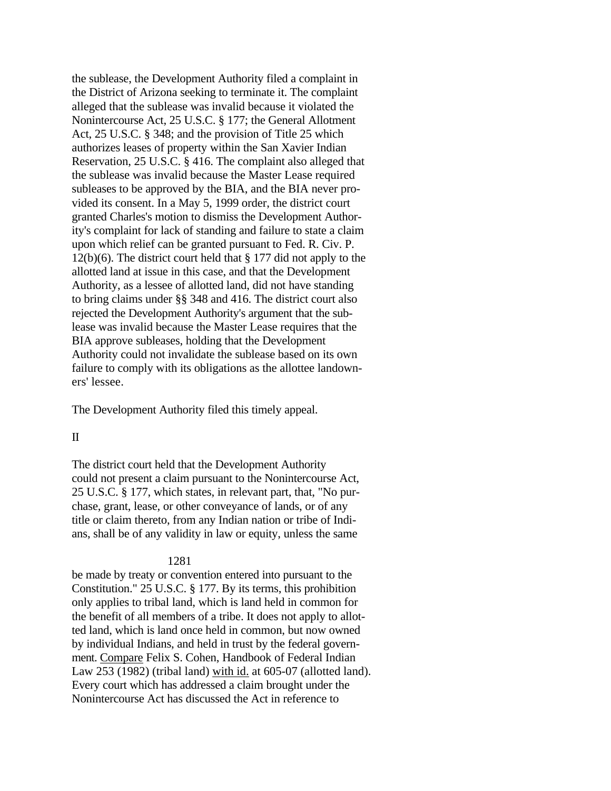the sublease, the Development Authority filed a complaint in the District of Arizona seeking to terminate it. The complaint alleged that the sublease was invalid because it violated the Nonintercourse Act, 25 U.S.C. § 177; the General Allotment Act, 25 U.S.C. § 348; and the provision of Title 25 which authorizes leases of property within the San Xavier Indian Reservation, 25 U.S.C. § 416. The complaint also alleged that the sublease was invalid because the Master Lease required subleases to be approved by the BIA, and the BIA never provided its consent. In a May 5, 1999 order, the district court granted Charles's motion to dismiss the Development Authority's complaint for lack of standing and failure to state a claim upon which relief can be granted pursuant to Fed. R. Civ. P. 12(b)(6). The district court held that § 177 did not apply to the allotted land at issue in this case, and that the Development Authority, as a lessee of allotted land, did not have standing to bring claims under §§ 348 and 416. The district court also rejected the Development Authority's argument that the sublease was invalid because the Master Lease requires that the BIA approve subleases, holding that the Development Authority could not invalidate the sublease based on its own failure to comply with its obligations as the allottee landowners' lessee.

The Development Authority filed this timely appeal.

## II

The district court held that the Development Authority could not present a claim pursuant to the Nonintercourse Act, 25 U.S.C. § 177, which states, in relevant part, that, "No purchase, grant, lease, or other conveyance of lands, or of any title or claim thereto, from any Indian nation or tribe of Indians, shall be of any validity in law or equity, unless the same

#### 1281

be made by treaty or convention entered into pursuant to the Constitution." 25 U.S.C. § 177. By its terms, this prohibition only applies to tribal land, which is land held in common for the benefit of all members of a tribe. It does not apply to allotted land, which is land once held in common, but now owned by individual Indians, and held in trust by the federal government. Compare Felix S. Cohen, Handbook of Federal Indian Law 253 (1982) (tribal land) with id. at 605-07 (allotted land). Every court which has addressed a claim brought under the Nonintercourse Act has discussed the Act in reference to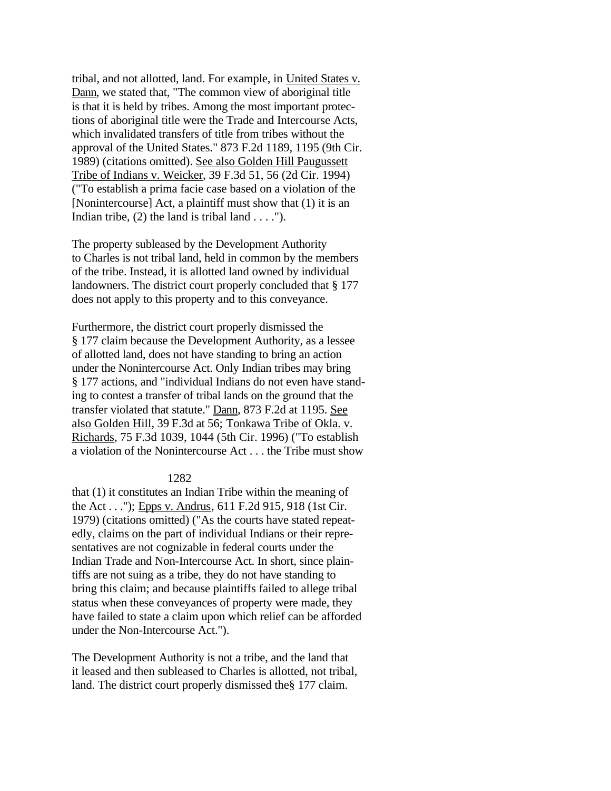tribal, and not allotted, land. For example, in United States v. Dann, we stated that, "The common view of aboriginal title is that it is held by tribes. Among the most important protections of aboriginal title were the Trade and Intercourse Acts, which invalidated transfers of title from tribes without the approval of the United States." 873 F.2d 1189, 1195 (9th Cir. 1989) (citations omitted). See also Golden Hill Paugussett Tribe of Indians v. Weicker, 39 F.3d 51, 56 (2d Cir. 1994) ("To establish a prima facie case based on a violation of the [Nonintercourse] Act, a plaintiff must show that (1) it is an Indian tribe,  $(2)$  the land is tribal land . . . .").

The property subleased by the Development Authority to Charles is not tribal land, held in common by the members of the tribe. Instead, it is allotted land owned by individual landowners. The district court properly concluded that § 177 does not apply to this property and to this conveyance.

Furthermore, the district court properly dismissed the § 177 claim because the Development Authority, as a lessee of allotted land, does not have standing to bring an action under the Nonintercourse Act. Only Indian tribes may bring § 177 actions, and "individual Indians do not even have standing to contest a transfer of tribal lands on the ground that the transfer violated that statute." Dann, 873 F.2d at 1195. See also Golden Hill, 39 F.3d at 56; Tonkawa Tribe of Okla. v. Richards, 75 F.3d 1039, 1044 (5th Cir. 1996) ("To establish a violation of the Nonintercourse Act . . . the Tribe must show

#### 1282

that (1) it constitutes an Indian Tribe within the meaning of the Act . . ."); Epps v. Andrus, 611 F.2d 915, 918 (1st Cir. 1979) (citations omitted) ("As the courts have stated repeatedly, claims on the part of individual Indians or their representatives are not cognizable in federal courts under the Indian Trade and Non-Intercourse Act. In short, since plaintiffs are not suing as a tribe, they do not have standing to bring this claim; and because plaintiffs failed to allege tribal status when these conveyances of property were made, they have failed to state a claim upon which relief can be afforded under the Non-Intercourse Act.").

The Development Authority is not a tribe, and the land that it leased and then subleased to Charles is allotted, not tribal, land. The district court properly dismissed the§ 177 claim.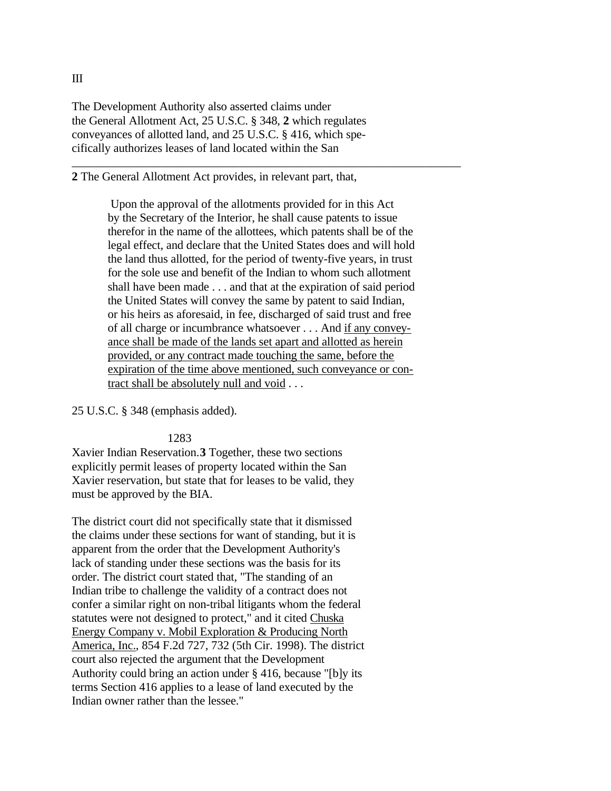The Development Authority also asserted claims under the General Allotment Act, 25 U.S.C. § 348, **2** which regulates conveyances of allotted land, and 25 U.S.C. § 416, which specifically authorizes leases of land located within the San

**2** The General Allotment Act provides, in relevant part, that,

 Upon the approval of the allotments provided for in this Act by the Secretary of the Interior, he shall cause patents to issue therefor in the name of the allottees, which patents shall be of the legal effect, and declare that the United States does and will hold the land thus allotted, for the period of twenty-five years, in trust for the sole use and benefit of the Indian to whom such allotment shall have been made . . . and that at the expiration of said period the United States will convey the same by patent to said Indian, or his heirs as aforesaid, in fee, discharged of said trust and free of all charge or incumbrance whatsoever . . . And if any conveyance shall be made of the lands set apart and allotted as herein provided, or any contract made touching the same, before the expiration of the time above mentioned, such conveyance or contract shall be absolutely null and void . . .

\_\_\_\_\_\_\_\_\_\_\_\_\_\_\_\_\_\_\_\_\_\_\_\_\_\_\_\_\_\_\_\_\_\_\_\_\_\_\_\_\_\_\_\_\_\_\_\_\_\_\_\_\_\_\_\_\_\_\_\_\_\_\_\_\_

25 U.S.C. § 348 (emphasis added).

#### 1283

Xavier Indian Reservation.**3** Together, these two sections explicitly permit leases of property located within the San Xavier reservation, but state that for leases to be valid, they must be approved by the BIA.

The district court did not specifically state that it dismissed the claims under these sections for want of standing, but it is apparent from the order that the Development Authority's lack of standing under these sections was the basis for its order. The district court stated that, "The standing of an Indian tribe to challenge the validity of a contract does not confer a similar right on non-tribal litigants whom the federal statutes were not designed to protect," and it cited Chuska Energy Company v. Mobil Exploration & Producing North America, Inc., 854 F.2d 727, 732 (5th Cir. 1998). The district court also rejected the argument that the Development Authority could bring an action under § 416, because "[b]y its terms Section 416 applies to a lease of land executed by the Indian owner rather than the lessee."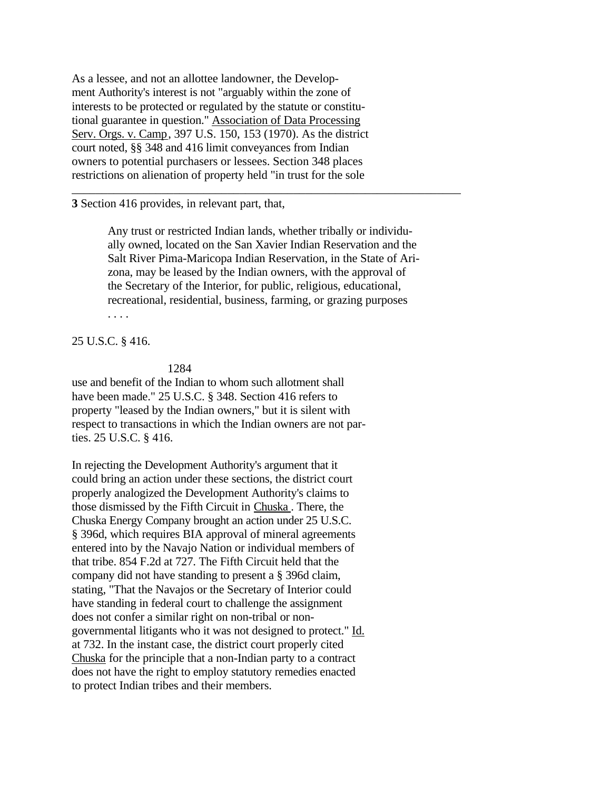As a lessee, and not an allottee landowner, the Development Authority's interest is not "arguably within the zone of interests to be protected or regulated by the statute or constitutional guarantee in question." Association of Data Processing Serv. Orgs. v. Camp, 397 U.S. 150, 153 (1970). As the district court noted, §§ 348 and 416 limit conveyances from Indian owners to potential purchasers or lessees. Section 348 places restrictions on alienation of property held "in trust for the sole

**3** Section 416 provides, in relevant part, that,

Any trust or restricted Indian lands, whether tribally or individually owned, located on the San Xavier Indian Reservation and the Salt River Pima-Maricopa Indian Reservation, in the State of Arizona, may be leased by the Indian owners, with the approval of the Secretary of the Interior, for public, religious, educational, recreational, residential, business, farming, or grazing purposes . . . .

\_\_\_\_\_\_\_\_\_\_\_\_\_\_\_\_\_\_\_\_\_\_\_\_\_\_\_\_\_\_\_\_\_\_\_\_\_\_\_\_\_\_\_\_\_\_\_\_\_\_\_\_\_\_\_\_\_\_\_\_\_\_\_\_\_

25 U.S.C. § 416.

#### 1284

use and benefit of the Indian to whom such allotment shall have been made." 25 U.S.C. § 348. Section 416 refers to property "leased by the Indian owners," but it is silent with respect to transactions in which the Indian owners are not parties. 25 U.S.C. § 416.

In rejecting the Development Authority's argument that it could bring an action under these sections, the district court properly analogized the Development Authority's claims to those dismissed by the Fifth Circuit in Chuska . There, the Chuska Energy Company brought an action under 25 U.S.C. § 396d, which requires BIA approval of mineral agreements entered into by the Navajo Nation or individual members of that tribe. 854 F.2d at 727. The Fifth Circuit held that the company did not have standing to present a § 396d claim, stating, "That the Navajos or the Secretary of Interior could have standing in federal court to challenge the assignment does not confer a similar right on non-tribal or nongovernmental litigants who it was not designed to protect." Id. at 732. In the instant case, the district court properly cited Chuska for the principle that a non-Indian party to a contract does not have the right to employ statutory remedies enacted to protect Indian tribes and their members.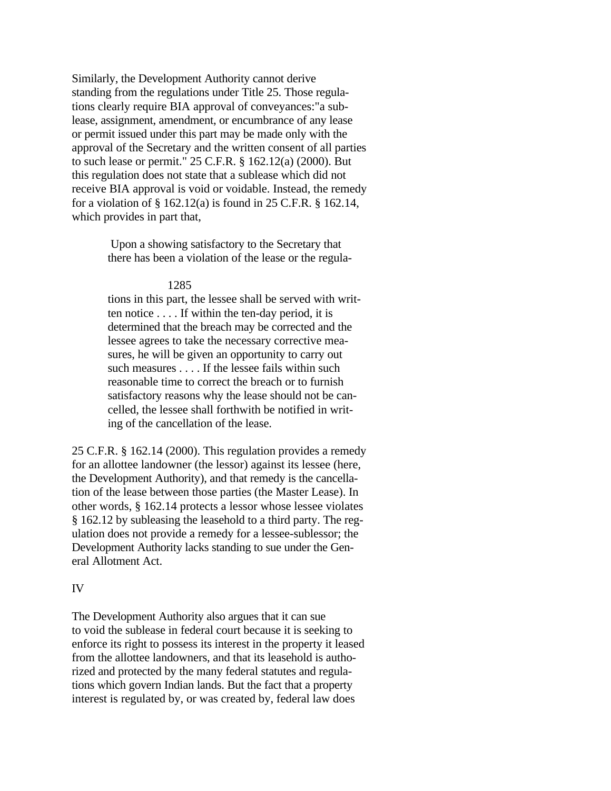Similarly, the Development Authority cannot derive standing from the regulations under Title 25. Those regulations clearly require BIA approval of conveyances:"a sublease, assignment, amendment, or encumbrance of any lease or permit issued under this part may be made only with the approval of the Secretary and the written consent of all parties to such lease or permit." 25 C.F.R. § 162.12(a) (2000). But this regulation does not state that a sublease which did not receive BIA approval is void or voidable. Instead, the remedy for a violation of § 162.12(a) is found in 25 C.F.R. § 162.14, which provides in part that,

> Upon a showing satisfactory to the Secretary that there has been a violation of the lease or the regula-

## 1285

tions in this part, the lessee shall be served with written notice . . . . If within the ten-day period, it is determined that the breach may be corrected and the lessee agrees to take the necessary corrective measures, he will be given an opportunity to carry out such measures . . . . If the lessee fails within such reasonable time to correct the breach or to furnish satisfactory reasons why the lease should not be cancelled, the lessee shall forthwith be notified in writing of the cancellation of the lease.

25 C.F.R. § 162.14 (2000). This regulation provides a remedy for an allottee landowner (the lessor) against its lessee (here, the Development Authority), and that remedy is the cancellation of the lease between those parties (the Master Lease). In other words, § 162.14 protects a lessor whose lessee violates § 162.12 by subleasing the leasehold to a third party. The regulation does not provide a remedy for a lessee-sublessor; the Development Authority lacks standing to sue under the General Allotment Act.

#### IV

The Development Authority also argues that it can sue to void the sublease in federal court because it is seeking to enforce its right to possess its interest in the property it leased from the allottee landowners, and that its leasehold is authorized and protected by the many federal statutes and regulations which govern Indian lands. But the fact that a property interest is regulated by, or was created by, federal law does